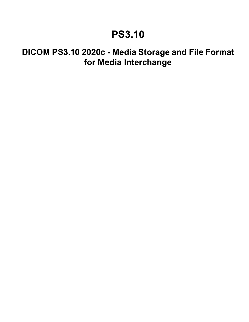## **PS3.10**

## **DICOM PS3.10 2020c - Media Storage and File Format for Media Interchange**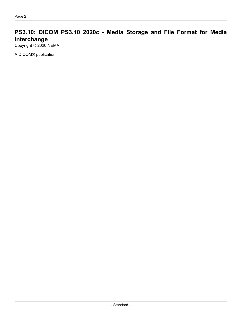## **PS3.10: DICOM PS3.10 2020c - Media Storage and File Format for Media Interchange**

Copyright © 2020 NEMA

A DICOM® publication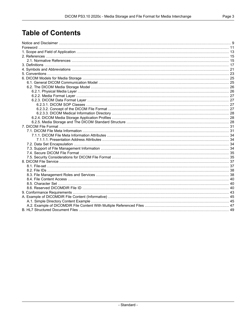## **Table of Contents**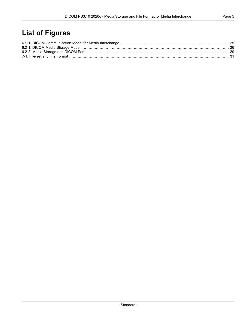## **List of Figures**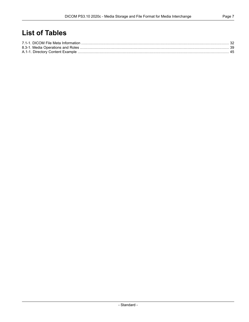## **List of Tables**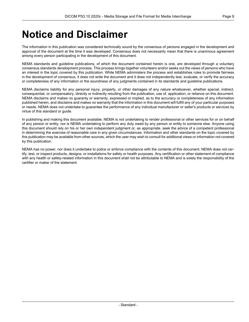## <span id="page-8-0"></span>**Notice and Disclaimer**

The information in this publication was considered technically sound by the consensus of persons engaged in the development and approval of the document at the time it was developed. Consensus does not necessarily mean that there is unanimous agreement among every person participating in the development of this document.

NEMA standards and guideline publications, of which the document contained herein is one, are developed through a voluntary consensus standards development process. This process brings together volunteers and/or seeks out the views of persons who have an interest in the topic covered by this publication. While NEMA administers the process and establishes rules to promote fairness in the development of consensus, it does not write the document and it does not independently test, evaluate, or verify the accuracy or completeness of any information or the soundness of any judgments contained in its standards and guideline publications.

NEMA disclaims liability for any personal injury, property, or other damages of any nature whatsoever, whether special, indirect, consequential, or compensatory, directly or indirectly resulting from the publication, use of, application, or reliance on this document. NEMA disclaims and makes no guaranty or warranty, expressed or implied, as to the accuracy or completeness of any information published herein, and disclaims and makes no warranty that the information in this document will fulfill any of your particular purposes or needs. NEMA does not undertake to guarantee the performance of any individual manufacturer or seller's products or services by virtue of this standard or guide.

In publishing and making this document available, NEMA is not undertaking to render professional or other services for or on behalf of any person or entity, nor is NEMA undertaking to perform any duty owed by any person or entity to someone else. Anyone using this document should rely on his or her own independent judgment or, as appropriate, seek the advice of a competent professional in determining the exercise of reasonable care in any given circumstances. Information and other standards on the topic covered by this publication may be available from other sources, which the user may wish to consult for additional views or information not covered by this publication.

NEMA has no power, nor does it undertake to police or enforce compliance with the contents of this document. NEMA does not cer tify, test, or inspect products, designs, or installations for safety or health purposes. Any certification or other statement of compliance with any health or safety-related information in this document shall not be attributable to NEMA and is solely the responsibility of the certifier or maker of the statement.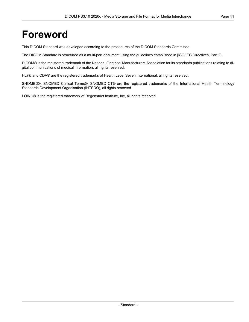## <span id="page-10-0"></span>**Foreword**

This DICOM Standard was developed according to the procedures of the DICOM Standards Committee.

The DICOM Standard is structured as a multi-part document using the guidelines established in [ISO/IEC [Directives,](#page-14-2) Part 2].

DICOM® is the registered trademark of the National Electrical Manufacturers Association for its standards publications relating to di gital communications of medical information, all rights reserved.

HL7® and CDA® are the registered trademarks of Health Level Seven International, all rights reserved.

SNOMED®, SNOMED Clinical Terms®, SNOMED CT® are the registered trademarks of the International Health Terminology Standards Development Organisation (IHTSDO), all rights reserved.

LOINC® is the registered trademark of Regenstrief Institute, Inc, all rights reserved.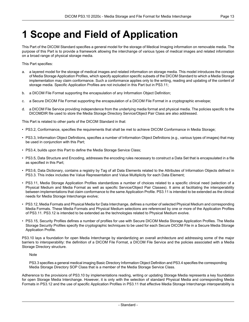## <span id="page-12-0"></span>**1 Scope and Field of Application**

This Part of the DICOM Standard specifies a general model for the storage of Medical Imaging information on removable media. The purpose of this Part is to provide a framework allowing the interchange of various types of medical images and related information on a broad range of physical storage media.

This Part specifies:

- a. a layered model for the storage of medical images and related information on storage media. This model introduces the concept of Media Storage Application Profiles, which specify application specific subsets of the DICOM Standard to which a Media Storage implementation may claim conformance. Such a conformance applies only to the writing, reading and updating of the content of storage media. Specific Application Profiles are not included in this Part but in [PS3.11](part11.pdf#PS3.11);
- b. a DICOM File Format supporting the encapsulation of any Information Object Definition;
- c. a Secure DICOM File Format supporting the encapsulation of a DICOM File Format in a cryptographic envelope;
- d. a DICOM File Service providing independence from the underlying media format and physical media. The policies specific to the DICOMDIR file used to store the Media Storage Directory Service/Object Pair Class are also addressed.

This Part is related to other parts of the DICOM Standard in that:

- [PS3.2](part02.pdf#PS3.2), Conformance, specifies the requirements that shall be met to achieve DICOM Conformance in Media Storage;
- [PS3.3](part03.pdf#PS3.3), Information Object Definitions, specifies a number of Information Object Definitions (e.g., various types of images) that may be used in conjunction with this Part;
- [PS3.4](part04.pdf#PS3.4), builds upon this Part to define the Media Storage Service Class;
- [PS3.5](part05.pdf#PS3.5), Data Structure and Encoding, addresses the encoding rules necessary to construct a Data Set that is encapsulated in a file as specified in this Part;
- [PS3.6](part06.pdf#PS3.6), Data Dictionary, contains a registry by Tag of all Data Elements related to the Attributes of Information Objects defined in [PS3.3](part03.pdf#PS3.3). This index includes the Value Representation and Value Multiplicity for each Data Element;
- [PS3.11](part11.pdf#PS3.11), Media Storage Application Profiles standardizes a number of choices related to a specific clinical need (selection of a Physical Medium and Media Format as well as specific Service/Object Pair Classes). It aims at facilitating the interoperability between implementations that claim conformance to the same Application Profile. [PS3.11](part11.pdf#PS3.11) is intended to be extended as the clinical needs for Media Storage Interchange evolve;
- [PS3.12](part12.pdf#PS3.12), Media Formats and Physical Media for Data Interchange, defines a number of selected Physical Medium and corresponding Media Formats. These Media Formats and Physical Medium selections are referenced by one or more of the Application Profiles of [PS3.11](part11.pdf#PS3.11). [PS3.12](part12.pdf#PS3.12) is intended to be extended as the technologies related to Physical Medium evolve.
- [PS3.15](part15.pdf#PS3.15), Security Profiles defines a number of profiles for use with Secure DICOM Media Storage Application Profiles. The Media Storage Security Profiles specify the cryptographic techniques to be used for each Secure DICOM File in a Secure Media Storage Application Profile.

PS3.10 lays a foundation for open Media Interchange by standardizing an overall architecture and addressing some of the major barriers to interoperability: the definition of a DICOM File Format, a DICOM File Service and the policies associated with a Media Storage Directory structure.

Note

[PS3.3](part03.pdf#PS3.3) specifies a general medical imaging Basic Directory Information Object Definition and [PS3.4](part04.pdf#PS3.4) specifies the corresponding Media Storage Directory SOP Class that is a member of the Media Storage Service Class.

Adherence to the provisions of PS3.10 by implementations reading, writing or updating Storage Media represents a key foundation for open Storage Media Interchange. However, it is only with the selection of standard Physical Media and corresponding Media Formats in [PS3.12](part12.pdf#PS3.12) and the use of specific Application Profiles in [PS3.11](part11.pdf#PS3.11) that effective Media Storage Interchange interoperability is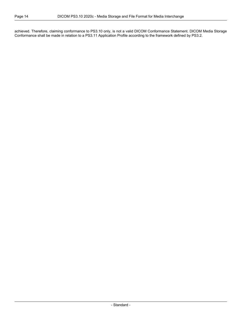achieved. Therefore, claiming conformance to PS3.10 only, is not a valid DICOM Conformance Statement. DICOM Media Storage Conformance shall be made in relation to a [PS3.11](part11.pdf#PS3.11) Application Profile according to the framework defined by [PS3.2.](part02.pdf#PS3.2)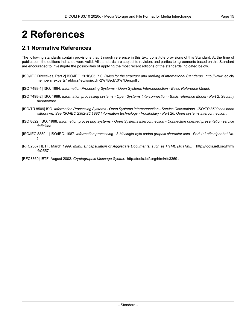# <span id="page-14-0"></span>**2 References**

### <span id="page-14-1"></span>**2.1 Normative References**

The following standards contain provisions that, through reference in this text, constitute provisions of this Standard. At the time of publication, the editions indicated were valid. All standards are subject to revision, and parties to agreements based on this Standard are encouraged to investigate the possibilities of applying the most recent editions of the standards indicated below.

- <span id="page-14-3"></span><span id="page-14-2"></span>[ISO/IEC Directives, Part 2] ISO/IEC. 2016/05. 7.0. *Rules for the structure and drafting of International Standards*. [http://www.iec.ch/](http://www.iec.ch/members_experts/refdocs/iec/isoiecdir-2%7Bed7.0%7Den.pdf) [members\\_experts/refdocs/iec/isoiecdir-2%7Bed7.0%7Den.pdf](http://www.iec.ch/members_experts/refdocs/iec/isoiecdir-2%7Bed7.0%7Den.pdf) .
- <span id="page-14-4"></span>[ISO 7498-1] ISO. 1994. *Information Processing Systems - Open Systems Interconnection - Basic Reference Model*.
- <span id="page-14-5"></span>[ISO 7498-2] ISO. 1989. Information processing systems - Open Systems Interconnection - Basic reference Model - Part 2: Security *Architecture*.
- <span id="page-14-6"></span>[ISO/TR 8509] ISO. *Information Processing Systems - Open Systems Interconnection - Service Conventions*. *ISO/TR 8509 has been withdrawn. See ISO/IEC 2382-26:1993 Information technology - Vocabulary - Part 26: Open systems interconnection* .
- [ISO 8822] ISO. 1988. *Information processing systems - Open Systems Interconnection - Connection oriented presentation service definition*.
- [ISO/IEC 8859-1] ISO/IEC. 1987. Information processing 8-bit single-byte coded graphic character sets Part 1: Latin alphabet No. *1*.
- [RFC2557] IETF. March 1999. *MIME Encapsulation of Aggregate Documents, such as HTML (MHTML)*. [http://tools.ietf.org/html/](http://tools.ietf.org/html/rfc2557) [rfc2557](http://tools.ietf.org/html/rfc2557) .

[RFC3369] IETF. August 2002. *Cryptographic Message Syntax*. <http://tools.ietf.org/html/rfc3369> .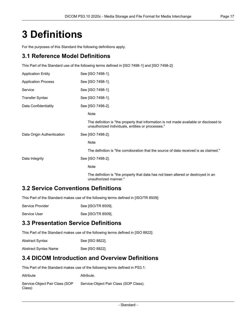## <span id="page-16-0"></span>**3 Definitions**

For the purposes of this Standard the following definitions apply.

### **3.1 Reference Model Definitions**

This Part of the Standard use of the following terms defined in [ISO [7498-1\]](#page-14-3) and [ISO [7498-2\]](#page-14-4):

| <b>Application Entity</b>  | See [ISO 7498-1].                                                                                                                           |
|----------------------------|---------------------------------------------------------------------------------------------------------------------------------------------|
| <b>Application Process</b> | See [ISO 7498-1].                                                                                                                           |
| Service                    | See [ISO 7498-1].                                                                                                                           |
| <b>Transfer Syntax</b>     | See [ISO 7498-1].                                                                                                                           |
| Data Confidentiality       | See [ISO 7498-2].                                                                                                                           |
|                            | Note                                                                                                                                        |
|                            | The definition is "the property that information is not made available or disclosed to<br>unauthorized individuals, entities or processes." |
| Data Origin Authentication | See [ISO 7498-2].                                                                                                                           |
|                            | Note                                                                                                                                        |
|                            | The definition is "the corroboration that the source of data received is as claimed."                                                       |
| Data Integrity             | See [ISO 7498-2].                                                                                                                           |
|                            | Note                                                                                                                                        |
|                            | The definition is "the property that data has not been altered or destroyed in an<br>unauthorized manner."                                  |

### **3.2 Service Conventions Definitions**

This Part of the Standard makes use of the following terms defined in [\[ISO/TR](#page-14-5) 8509]:

| Service Provider | See [ISO/TR 8509]. |
|------------------|--------------------|
|                  |                    |

Service User See [\[ISO/TR](#page-14-5) 8509].

## **3.3 Presentation Service Definitions**

This Part of the Standard makes use of the following terms defined in [ISO [8822\]](#page-14-6):

| <b>Abstract Syntax</b> | See [ISO 8822]. |
|------------------------|-----------------|
| Abstract Syntax Name   | See [ISO 8822]. |

### **3.4 DICOM Introduction and Overview Definitions**

This Part of the Standard makes use of the following terms defined in [PS3.1:](part01.pdf#PS3.1)

| Attribute                                | Attribute.                             |
|------------------------------------------|----------------------------------------|
| Service-Object Pair Class (SOP<br>Class) | Service-Object Pair Class (SOP Class). |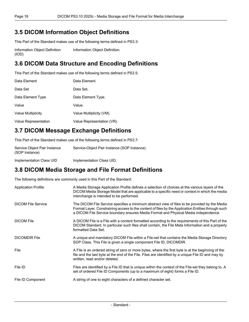## **3.5 DICOM Information Object Definitions**

This Part of the Standard makes use of the following terms defined in [PS3.3:](part03.pdf#PS3.3)

Information Object Definition (IOD) [Information](part03.pdf#glossentry_InformationObjectDefinition) Object Definition.

## **3.6 DICOM Data Structure and Encoding Definitions**

This Part of the Standard makes use of the following terms defined in [PS3.5:](part05.pdf#PS3.5)

| Data Element         | Data Element.              |
|----------------------|----------------------------|
| Data Set             | Data Set.                  |
| Data Element Type    | Data Element Type.         |
| Value                | Value.                     |
| Value Multiplicity   | Value Multiplicity (VM).   |
| Value Representation | Value Representation (VR). |

## **3.7 DICOM Message Exchange Definitions**

This Part of the Standard makes use of the following terms defined in [PS3.7:](part07.pdf#PS3.7)

| Service Object Pair Instance<br>(SOP Instance) | Service-Object Pair Instance (SOP Instance). |
|------------------------------------------------|----------------------------------------------|
| Implementation Class UID                       | Implementation Class UID.                    |

## **3.8 DICOM Media Storage and File Format Definitions**

The following definitions are commonly used in this Part of the Standard:

| <b>Application Profile</b> | A Media Storage Application Profile defines a selection of choices at the various layers of the<br>DICOM Media Storage Model that are applicable to a specific need or context in which the media<br>interchange is intended to be performed.                                              |
|----------------------------|--------------------------------------------------------------------------------------------------------------------------------------------------------------------------------------------------------------------------------------------------------------------------------------------|
| <b>DICOM File Service</b>  | The DICOM File Service specifies a minimum abstract view of files to be provided by the Media<br>Format Layer. Constraining access to the content of files by the Application Entities through such<br>a DICOM File Service boundary ensures Media Format and Physical Media independence. |
| <b>DICOM File</b>          | A DICOM File is a File with a content formatted according to the requirements of this Part of the<br>DICOM Standard. In particular such files shall contain, the File Meta Information and a properly<br>formatted Data Set.                                                               |
| <b>DICOMDIR File</b>       | A unique and mandatory DICOM File within a File-set that contains the Media Storage Directory<br>SOP Class. This File is given a single component File ID, DICOMDIR.                                                                                                                       |
| File                       | A File is an ordered string of zero or more bytes, where the first byte is at the beginning of the<br>file and the last byte at the end of the File. Files are identified by a unique File ID and may by<br>written, read and/or deleted.                                                  |
| File ID                    | Files are identified by a File ID that is unique within the context of the File-set they belong to. A<br>set of ordered File ID Components (up to a maximum of eight) forms a File ID.                                                                                                     |
| File ID Component          | A string of one to eight characters of a defined character set.                                                                                                                                                                                                                            |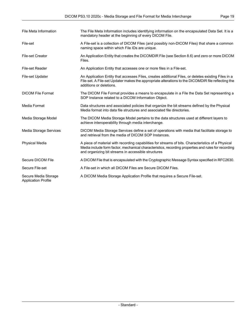| File Meta Information                              | The File Meta Information includes identifying information on the encapsulated Data Set. It is a<br>mandatory header at the beginning of every DICOM File.                                                                                                       |
|----------------------------------------------------|------------------------------------------------------------------------------------------------------------------------------------------------------------------------------------------------------------------------------------------------------------------|
| File-set                                           | A File-set is a collection of DICOM Files (and possibly non-DICOM Files) that share a common<br>naming space within which File IDs are unique.                                                                                                                   |
| <b>File-set Creator</b>                            | An Application Entity that creates the DICOMDIR File (see Section 8.6) and zero or more DICOM<br>Files.                                                                                                                                                          |
| File-set Reader                                    | An Application Entity that accesses one or more files in a File-set.                                                                                                                                                                                             |
| File-set Updater                                   | An Application Entity that accesses Files, creates additional Files, or deletes existing Files in a<br>File-set. A File-set Updater makes the appropriate alterations to the DICOMDIR file reflecting the<br>additions or deletions.                             |
| <b>DICOM File Format</b>                           | The DICOM File Format provides a means to encapsulate in a File the Data Set representing a<br>SOP Instance related to a DICOM Information Object.                                                                                                               |
| Media Format                                       | Data structures and associated policies that organize the bit streams defined by the Physical<br>Media format into data file structures and associated file directories.                                                                                         |
| Media Storage Model                                | The DICOM Media Storage Model pertains to the data structures used at different layers to<br>achieve interoperability through media interchange.                                                                                                                 |
| Media Storage Services                             | DICOM Media Storage Services define a set of operations with media that facilitate storage to<br>and retrieval from the media of DICOM SOP Instances.                                                                                                            |
| <b>Physical Media</b>                              | A piece of material with recording capabilities for streams of bits. Characteristics of a Physical<br>Media include form factor, mechanical characteristics, recording properties and rules for recording<br>and organizing bit streams in accessible structures |
| Secure DICOM File                                  | A DICOM File that is encapsulated with the Cryptographic Message Syntax specified in RFC2630.                                                                                                                                                                    |
| Secure File-set                                    | A File-set in which all DICOM Files are Secure DICOM Files.                                                                                                                                                                                                      |
| Secure Media Storage<br><b>Application Profile</b> | A DICOM Media Storage Application Profile that requires a Secure File-set.                                                                                                                                                                                       |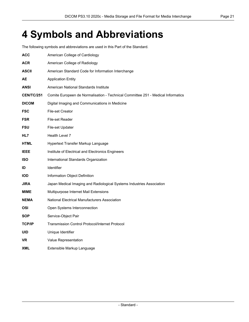# <span id="page-20-0"></span>**4 Symbols and Abbreviations**

The following symbols and abbreviations are used in this Part of the Standard.

| <b>ACC</b>        | American College of Cardiology                                                   |
|-------------------|----------------------------------------------------------------------------------|
| <b>ACR</b>        | American College of Radiology                                                    |
| <b>ASCII</b>      | American Standard Code for Information Interchange                               |
| AE                | <b>Application Entity</b>                                                        |
| <b>ANSI</b>       | American National Standards Institute                                            |
| <b>CEN/TC/251</b> | Comite Europeen de Normalisation - Technical Committee 251 - Medical Informatics |
| <b>DICOM</b>      | Digital Imaging and Communications in Medicine                                   |
| <b>FSC</b>        | <b>File-set Creator</b>                                                          |
| <b>FSR</b>        | File-set Reader                                                                  |
| <b>FSU</b>        | File-set Updater                                                                 |
| HL7               | Health Level 7                                                                   |
| <b>HTML</b>       | Hypertext Transfer Markup Language                                               |
| <b>IEEE</b>       | Institute of Electrical and Electronics Engineers                                |
| <b>ISO</b>        | International Standards Organization                                             |
| ID                | <b>Identifier</b>                                                                |
| <b>IOD</b>        | Information Object Definition                                                    |
| <b>JIRA</b>       | Japan Medical Imaging and Radiological Systems Industries Association            |
| MIME              | Multipurpose Internet Mail Extensions                                            |
| <b>NEMA</b>       | National Electrical Manufacturers Association                                    |
| OSI               | Open Systems Interconnection                                                     |
| <b>SOP</b>        | Service-Object Pair                                                              |
| <b>TCP/IP</b>     | <b>Transmission Control Protocol/Internet Protocol</b>                           |
| <b>UID</b>        | Unique Identifier                                                                |
| VR                | Value Representation                                                             |
| <b>XML</b>        | Extensible Markup Language                                                       |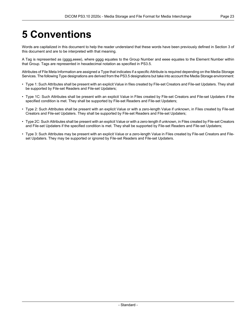# <span id="page-22-0"></span>**5 Conventions**

Words are capitalized in this document to help the reader understand that these words have been previously defined in Section 3 of this document and are to be interpreted with that meaning.

A Tag is represented as (gggg,eeee), where gggg equates to the Group Number and eeee equates to the Element Number within that Group. Tags are represented in hexadecimal notation as specified in [PS3.5.](part05.pdf#PS3.5)

Attributes of File Meta Information are assigned a Type that indicates if a specific Attribute is required depending on the Media Storage Services. The following Type designations are derived from the [PS3.5](part05.pdf#PS3.5) designations but take into account the Media Storage environment:

- Type 1: Such Attributes shall be present with an explicit Value in files created by File-set Creators and File-set Updaters. They shall be supported by File-set Readers and File-set Updaters;
- Type 1C: Such Attributes shall be present with an explicit Value in Files created by File-set Creators and File-set Updaters if the specified condition is met. They shall be supported by File-set Readers and File-set Updaters;
- Type 2: Such Attributes shall be present with an explicit Value or with a zero-length Value if unknown, in Files created by File-set Creators and File-set Updaters. They shall be supported by File-set Readers and File-set Updaters;
- Type 2C: Such Attributes shall be present with an explicit Value or with a zero-length if unknown, in Files created by File-set Creators and File-set Updaters if the specified condition is met. They shall be supported by File-set Readers and File-set Updaters;
- Type 3: Such Attributes may be present with an explicit Value or a zero-length Value in Files created by File-set Creators and File set Updaters. They may be supported or ignored by File-set Readers and File-set Updaters.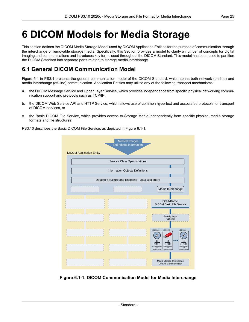## <span id="page-24-0"></span>**6 DICOM Models for Media Storage**

This section defines the DICOM Media Storage Model used by DICOM Application Entities for the purpose of communication through the interchange of removable storage media. Specifically, this Section provides a model to clarify a number of concepts for digital imaging and communications and introduces key terms used throughout the DICOM Standard. This model has been used to partition the DICOM Standard into separate parts related to storage media interchange.

## <span id="page-24-1"></span>**6.1 General DICOM Communication Model**

[Figure](part01.pdf#figure_5-1) 5-1 in PS3.1 presents the general communication model of the DICOM Standard, which spans both network (on-line) and media interchange (off-line) communication. Application Entities may utilize any of the following transport mechanisms:

- a. the DICOM Message Service and Upper Layer Service, which provides independence from specific physical networking commu nication support and protocols such as TCP/IP,
- b. the DICOM Web Service API and HTTP Service, which allows use of common hypertext and associated protocols for transport of DICOM services, or
- c. the Basic DICOM File Service, which provides access to Storage Media independently from specific physical media storage formats and file structures.

<span id="page-24-2"></span>PS3.10 describes the Basic DICOM File Service, as depicted in [Figure](#page-24-2) 6.1-1.



**Figure 6.1-1. DICOM Communication Model for Media Interchange**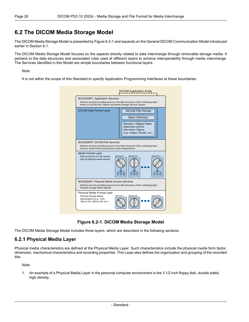### <span id="page-25-0"></span>**6.2 The DICOM Media Storage Model**

The DICOM Media Storage Model is presented by [Figure](#page-25-2) 6.2-1 and expands on the General DICOM Communication Model introduced earlier in [Section](#page-24-1) 6.1.

The DICOM Media Storage Model focuses on the aspects directly related to data interchange through removable storage media. It pertains to the data structures and associated rules used at different layers to achieve interoperability through media interchange. The Services identified in this Model are simple boundaries between functional layers.

#### Note

<span id="page-25-2"></span>It is not within the scope of this Standard to specify Application Programming Interfaces at these boundaries.

| <b>BOUNDARY: Application Services</b><br>Relies on DICOM info; Objects and Media Storage Service Classes | Abstract services providing access to the data structures of the underlying layer;                                                                                  |
|----------------------------------------------------------------------------------------------------------|---------------------------------------------------------------------------------------------------------------------------------------------------------------------|
| <b>DICOM Data Format Layer</b>                                                                           | <b>DICOM File Format</b><br><b>Basic Directory</b><br>Service / Object Pairs;<br>Application-specific<br><b>Information Objects</b><br>(e.g. Images, Results, etc.) |
| <b>BOUNDARY: DICOM File Services</b>                                                                     |                                                                                                                                                                     |
| Ensures media format and physical media independence                                                     | Abstract services providing access to the data structures of the underlying layer;                                                                                  |
| Media Format Layer<br>Data structures of a file system,<br>may be physical media-specific                | <b>MEDIUM A</b><br><b>MEDIUM B</b><br><b>MEDIUM N</b>                                                                                                               |
| <b>BOUNDARY: Physical Media Access Services</b><br>Physical Storage Media Specific                       | Abstract services providing access to the data structures of the underlying layer;                                                                                  |

**Figure 6.2-1. DICOM Media Storage Model**

<span id="page-25-1"></span>The DICOM Media Storage Model includes three layers, which are described in the following sections.

#### **6.2.1 Physical Media Layer**

Physical media characteristics are defined at the Physical Media Layer. Such characteristics include the physical media form factor, dimension, mechanical characteristics and recording properties. This Layer also defines the organization and grouping of the recorded bits.

Note

1. An example of a Physical Media Layer in the personal computer environment is the 3 1/2 inch floppy disk, double sided, high density.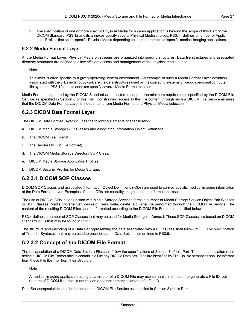2. The specification of one or more specific Physical Media for a given application is beyond the scope of this Part of the DICOM Standard. [PS3.12](part12.pdf#PS3.12) and its annexes specify several Physical Media choices. [PS3.11](part11.pdf#PS3.11) defines a number of Applic ation Profiles that select specific Physical Media depending on the requirements of specific medical imaging applications.

#### <span id="page-26-0"></span>**6.2.2 Media Format Layer**

At the Media Format Layer, Physical Media bit streams are organized into specific structures. Data file structures and associated directory structures are defined to allow efficient access and management of the physical media space.

Note

This layer is often specific to a given operating system environment. An example of such a Media Format Layer definition associated with the 3 1/2 inch floppy disk are the data structures used by the operating systems of various personal computer file systems. [PS3.12](part12.pdf#PS3.12) and its annexes specify several Media Format choices.

<span id="page-26-1"></span>Media Formats supported by the DICOM Standard are selected to support the minimum requirements specified by the DICOM File Service as specified in Section 8 of this Part. Constraining access to the File content through such a DICOM File Service ensures that the DICOM Data Format Layer is independent from Media Format and Physical Media selection.

#### **6.2.3 DICOM Data Format Layer**

The DICOM Data Format Layer includes the following elements of specification:

- a. DICOM Media Storage SOP Classes and associated Information Object Definitions;
- b. The DICOM File Format;
- c. The Secure DICOM File Format;
- d. The DICOM Media Storage Directory SOP Class;
- <span id="page-26-2"></span>e. DICOM Media Storage Application Profiles;
- f. DICOM Security Profiles for Media Storage.

#### **6.2.3.1 DICOM SOP Classes**

DICOM SOP Classes and associated Information Object Definitions (IODs) are used to convey specific medical imaging information at the Data Format Layer. Examples of such IODs are modality images, patient information, results, etc.

The use of DICOM IODs in conjunction with Media Storage Services forms a number of Media Storage Service Object Pair Classes or SOP Classes. Media Storage Services (e.g., read, write, delete, etc.) shall be performed through the DICOM File Service. The content of the resulting DICOM Files shall be formatted according to the DICOM File Format as specified below.

<span id="page-26-3"></span>[PS3.4](part04.pdf#PS3.4) defines a number of SOP Classes that may be used for Media Storage in [Annex](part04.pdf#chapter_I) I. These SOP Classes are based on DICOM Standard IODs that may be found in [PS3.3](part03.pdf#PS3.3).

The structure and encoding of a Data Set representing the data associated with a SOP Class shall follow [PS3.5.](part05.pdf#PS3.5) The specification of Transfer Syntaxes that may be used to encode such a Data Set, is also defined in [PS3.5.](part05.pdf#PS3.5)

#### **6.2.3.2 Concept of the DICOM File Format**

The encapsulation of a DICOM Data Set in a File shall follow the specifications of Section 7 of this Part. These encapsulation rules define a DICOM File Format able to contain in a File any DICOM Data Set. Files are identified by File IDs. No semantics shall be inferred from these File IDs, nor from their structure.

Note

A medical imaging application acting as a creator of a DICOM File may use semantic information to generate a File ID, but readers of DICOM files should not rely on apparent semantic content of a File ID.

Data Set encapsulation shall be based on the DICOM File Service as specified in Section 8 of this Part.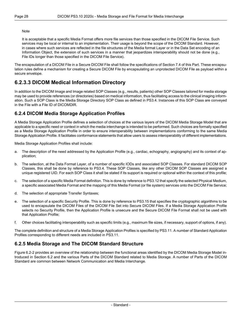#### **Note**

It is acceptable that a specific Media Format offers more file services than those specified in the DICOM File Service. Such services may be local or internal to an implementation. Their usage is beyond the scope of the DICOM Standard. However, in cases where such services are reflected in the file structures of the Media format Layer or in the Data Set encoding of an Information Object, the extension of such services in a manner that jeopardizes interoperability should not be done (e.g., File IDs longer than those specified in the DICOM File Service).

<span id="page-27-0"></span>The encapsulation of a DICOM File in a Secure DICOM File shall follow the specifications of [Section](#page-34-0) 7.4 of this Part. These encapsu lation rules define a mechanism for creating a Secure DICOM File by encapsulating an unprotected DICOM File as payload within a secure envelope.

### **6.2.3.3 DICOM Medical Information Directory**

<span id="page-27-1"></span>In addition to the DICOM Image and Image related SOP Classes (e.g., results, patients) other SOP Classes tailored for media storage may be used to provide references (or directories) based on medical information, thus facilitating access to the clinical imaging inform ation. Such a SOP Class is the Media Storage Directory SOP Class as defined in [PS3.4](part04.pdf#PS3.4). Instances of this SOP Class are conveyed in the File with a File ID of DICOMDIR.

#### **6.2.4 DICOM Media Storage Application Profiles**

A Media Storage Application Profile defines a selection of choices at the various layers of the DICOM Media Storage Model that are applicable to a specific need or context in which the media interchange is intended to be performed. Such choices are formally specified as a Media Storage Application Profile in order to ensure interoperability between implementations conforming to the same Media Storage Application Profile. It facilitates conformance statements that allow users to assess interoperability of different implementations.

Media Storage Application Profiles shall include:

- a. The description of the need addressed by the Application Profile (e.g., cardiac, echography, angiography) and its context of ap plication;
- b. The selection, at the Data Format Layer, of a number of specific IODs and associated SOP Classes. For standard DICOM SOP Classes, this shall be done by reference to [PS3.4.](part04.pdf#PS3.4) These SOP Classes, like any other DICOM SOP Classes are assigned a unique registered UID. For each SOP Class it shall be stated if its support is required or optional within the context of this profile;
- c. The selection of a specific Media Format definition. This is done by reference to [PS3.12](part12.pdf#PS3.12) that specify the selected Physical Medium, a specific associated Media Format and the mapping of this Media Format (or file system) services onto the DICOM File Service;
- d. The selection of appropriate Transfer Syntaxes;
- e. The selection of a specific Security Profile. This is done by reference to [PS3.15](part15.pdf#PS3.15) that specifies the cryptographic algorithms to be used to encapsulate the DICOM Files of the DICOM File Set into Secure DICOM Files. If a Media Storage Application Profile selects no Security Profile, then the Application Profile is unsecure and the Secure DICOM File Format shall not be used with that Application Profile;
- <span id="page-27-2"></span>f. Other choices facilitating interoperability such as specific limits (e.g., maximum file sizes, if necessary, support of options, if any).

The complete definition and structure of a Media Storage Application Profiles is specified by [PS3.11](part11.pdf#PS3.11). A number of Standard Application Profiles corresponding to different needs are included in [PS3.11](part11.pdf#PS3.11).

#### **6.2.5 Media Storage and The DICOM Standard Structure**

[Figure](#page-28-0) 6.2-2 provides an overview of the relationship between the functional areas identified by the DICOM Media Storage Model in troduced in [Section](#page-25-0) 6.2 and the various Parts of the DICOM Standard related to Media Storage. A number of Parts of the DICOM Standard are common between Network Communication and Media Interchange.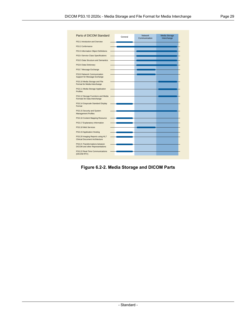<span id="page-28-0"></span>

| Parts of DICOM Standard                                                  | General | <b>Network</b><br>Communication | Media Storage<br>Interchange |
|--------------------------------------------------------------------------|---------|---------------------------------|------------------------------|
| PS3.1 Introduction and Overview                                          |         |                                 |                              |
| PS3.2 Conformance                                                        |         |                                 |                              |
| PS3.3 Information Object Definitions                                     |         |                                 |                              |
| PS3.4 Service Class Specifications                                       |         |                                 |                              |
| PS3.5 Data Structure and Semantics                                       |         |                                 |                              |
| PS3.6 Data Dictionary                                                    |         |                                 |                              |
| PS3.7 Message Exchange                                                   |         |                                 |                              |
| PS3.8 Network Communication<br>Support for Message Exchange              |         |                                 |                              |
| PS3.10 Media Storage and File<br>Format for Media Interchange            |         |                                 |                              |
| PS3.11 Media Storage Application<br><b>Profiles</b>                      |         |                                 |                              |
| PS3.12 Storage Functions and Media<br>Formats for Data Interchange       |         |                                 |                              |
| PS3.14 Grayscale Standard Display<br>Format                              |         |                                 |                              |
| PS3.15 Security and System<br><b>Management Profiles</b>                 |         |                                 |                              |
| PS3.16 Content Mapping Resource                                          |         |                                 |                              |
| PS3.17 Explanatory Information                                           |         |                                 |                              |
| PS3.18 Web Services                                                      |         |                                 |                              |
| PS3.19 Application Hosting                                               |         |                                 |                              |
| PS3.20 Imaging Reports using HL7<br>Clinical Document Architecture       |         |                                 |                              |
| PS3.21 Transformations between<br><b>DICOM</b> and other Representations |         |                                 |                              |
| PS3.22 Real-Time Communications<br>(DICOM RTV)                           |         |                                 |                              |

**Figure 6.2-2. Media Storage and DICOM Parts**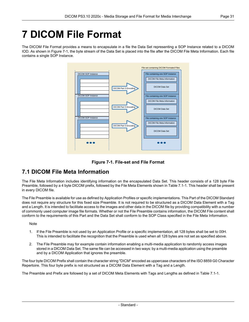# <span id="page-30-0"></span>**7 DICOM File Format**

<span id="page-30-2"></span>The DICOM File Format provides a means to encapsulate in a file the Data Set representing a SOP Instance related to a DICOM IOD. As shown in [Figure](#page-30-2) 7-1, the byte stream of the Data Set is placed into the file after the DICOM File Meta Information. Each file contains a single SOP Instance.





## <span id="page-30-1"></span>**7.1 DICOM File Meta Information**

The File Meta Information includes identifying information on the encapsulated Data Set. This header consists of a 128 byte File Preamble, followed by a 4 byte DICOM prefix, followed by the File Meta Elements shown in [Table](#page-31-0) 7.1-1. This header shall be present in every DICOM file.

The File Preamble is available for use as defined by Application Profiles or specific implementations. This Part of the DICOM Standard does not require any structure for this fixed size Preamble. It is not required to be structured as a DICOM Data Element with a Tag and a Length. It is intended to facilitate access to the images and other data in the DICOM file by providing compatibility with a number of commonly used computer image file formats. Whether or not the File Preamble contains information, the DICOM File content shall conform to the requirements of this Part and the Data Set shall conform to the SOP Class specified in the File Meta Information.

#### **Note**

- 1. If the File Preamble is not used by an Application Profile or a specific implementation, all 128 bytes shall be set to 00H. This is intended to facilitate the recognition that the Preamble is used when all 128 bytes are not set as specified above.
- 2. The File Preamble may for example contain information enabling a multi-media application to randomly access images stored in a DICOM Data Set. The same file can be accessed in two ways: by a multi-media application using the preamble and by a DICOM Application that ignores the preamble.

The four byte DICOM Prefix shall contain the character string "DICM" encoded as uppercase characters of the ISO 8859 G0 Character Repertoire. This four byte prefix is not structured as a DICOM Data Element with a Tag and a Length.

The Preamble and Prefix are followed by a set of DICOM Meta Elements with Tags and Lengths as defined in [Table](#page-31-0) 7.1-1.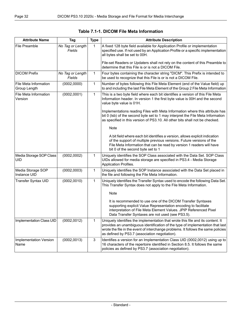<span id="page-31-0"></span>

| <b>Attribute Name</b>                 | Tag                        | <b>Type</b>  | <b>Attribute Description</b>                                                                                                                                                                                                                                                                             |
|---------------------------------------|----------------------------|--------------|----------------------------------------------------------------------------------------------------------------------------------------------------------------------------------------------------------------------------------------------------------------------------------------------------------|
| File Preamble                         | No Tag or Length<br>Fields | 1            | A fixed 128 byte field available for Application Profile or implementation<br>specified use. If not used by an Application Profile or a specific implementation<br>all bytes shall be set to 00H.                                                                                                        |
|                                       |                            |              | File-set Readers or Updaters shall not rely on the content of this Preamble to<br>determine that this File is or is not a DICOM File.                                                                                                                                                                    |
| <b>DICOM Prefix</b>                   | No Tag or Length<br>Fields | $\mathbf{1}$ | Four bytes containing the character string "DICM". This Prefix is intended to<br>be used to recognize that this File is or is not a DICOM File.                                                                                                                                                          |
| File Meta Information<br>Group Length | (0002, 0000)               | 1            | Number of bytes following this File Meta Element (end of the Value field) up<br>to and including the last File Meta Element of the Group 2 File Meta Information                                                                                                                                         |
| File Meta Information<br>Version      | (0002,0001)                | $\mathbf 1$  | This is a two byte field where each bit identifies a version of this File Meta<br>Information header. In version 1 the first byte value is 00H and the second<br>value byte value is 01H.                                                                                                                |
|                                       |                            |              | Implementations reading Files with Meta Information where this attribute has<br>bit 0 (Isb) of the second byte set to 1 may interpret the File Meta Information<br>as specified in this version of PS3.10. All other bits shall not be checked.                                                          |
|                                       |                            |              | Note                                                                                                                                                                                                                                                                                                     |
|                                       |                            |              | A bit field where each bit identifies a version, allows explicit indication<br>of the support of multiple previous versions. Future versions of the<br>File Meta Information that can be read by version 1 readers will have<br>bit 0 of the second byte set to 1                                        |
| Media Storage SOP Class<br>UID        | (0002, 0002)               | 1            | Uniquely identifies the SOP Class associated with the Data Set. SOP Class<br>UIDs allowed for media storage are specified in PS3.4 - Media Storage<br>Application Profiles.                                                                                                                              |
| Media Storage SOP<br>Instance UID     | (0002, 0003)               | 1            | Uniquely identifies the SOP Instance associated with the Data Set placed in<br>the file and following the File Meta Information.                                                                                                                                                                         |
| Transfer Syntax UID                   | (0002, 0010)               | $\mathbf 1$  | Uniquely identifies the Transfer Syntax used to encode the following Data Set.<br>This Transfer Syntax does not apply to the File Meta Information.                                                                                                                                                      |
|                                       |                            |              | Note                                                                                                                                                                                                                                                                                                     |
|                                       |                            |              | It is recommended to use one of the DICOM Transfer Syntaxes<br>supporting explicit Value Representation encoding to facilitate<br>interpretation of File Meta Element Values. JPIP Referenced Pixel<br>Data Transfer Syntaxes are not used (see PS3.5).                                                  |
| Implementation Class UID              | (0002, 0012)               | 1            | Uniquely identifies the implementation that wrote this file and its content. It<br>provides an unambiguous identification of the type of implementation that last<br>wrote the file in the event of interchange problems. It follows the same policies<br>as defined by PS3.7 (association negotiation). |
| Implementation Version<br>Name        | (0002, 0013)               | 3            | Identifies a version for an Implementation Class UID (0002,0012) using up to<br>16 characters of the repertoire identified in Section 8.5. It follows the same<br>policies as defined by PS3.7 (association negotiation).                                                                                |

#### **Table 7.1-1. DICOM File Meta Information**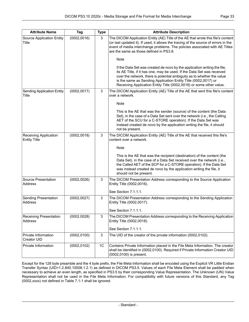| <b>Attribute Name</b>                        | Tag          | <b>Type</b> | <b>Attribute Description</b>                                                                                                                                                                                                                                                                                                                                          |
|----------------------------------------------|--------------|-------------|-----------------------------------------------------------------------------------------------------------------------------------------------------------------------------------------------------------------------------------------------------------------------------------------------------------------------------------------------------------------------|
| Source Application Entity<br>Title           | (0002, 0016) | 3           | The DICOM Application Entity (AE) Title of the AE that wrote this file's content<br>(or last updated it). If used, it allows the tracing of the source of errors in the<br>event of media interchange problems. The policies associated with AE Titles<br>are the same as those defined in PS3.8.                                                                     |
|                                              |              |             | Note                                                                                                                                                                                                                                                                                                                                                                  |
|                                              |              |             | If the Data Set was created de novo by the application writing the file,<br>its AE Title, if it has one, may be used. If the Data Set was received<br>over the network, there is potential ambiguity as to whether the value<br>is the same as Sending Application Entity Title (0002,0017) or<br>Receiving Application Entity Title (0002,0018) or some other value. |
| <b>Sending Application Entity</b><br>Title   | (0002, 0017) | 3           | The DICOM Application Entity (AE) Title of the AE that sent this file's content<br>over a network.                                                                                                                                                                                                                                                                    |
|                                              |              |             | Note                                                                                                                                                                                                                                                                                                                                                                  |
|                                              |              |             | This is the AE that was the sender (source) of the content (the Data<br>Set), in the case of a Data Set sent over the network (i.e., the Calling<br>AET of the SCU for a C-STORE operation). If the Data Set was<br>instead created de novo by the application writing the file, it should<br>not be present.                                                         |
| Receiving Application<br><b>Entity Title</b> | (0002, 0018) | 3           | The DICOM Application Entity (AE) Title of the AE that received this file's<br>content over a network.                                                                                                                                                                                                                                                                |
|                                              |              |             | Note                                                                                                                                                                                                                                                                                                                                                                  |
|                                              |              |             | This is the AE that was the recipient (destination) of the content (the<br>Data Set), in the case of a Data Set received over the network (i.e.,<br>the Called AET of the SCP for a C-STORE operation). If the Data Set<br>was instead created de novo by the application writing the file, it<br>should not be present.                                              |
| Source Presentation<br>Address               | (0002, 0026) | 3           | The DICOM Presentation Address corresponding to the Source Application                                                                                                                                                                                                                                                                                                |
|                                              |              |             | Entity Title (0002,0016).<br>See Section 7.1.1.1.                                                                                                                                                                                                                                                                                                                     |
| Sending Presentation<br>Address              | (0002, 0027) | 3           | The DICOM Presentation Address corresponding to the Sending Application<br>Entity Title (0002,0017).<br>See Section 7.1.1.1.                                                                                                                                                                                                                                          |
| Receiving Presentation                       | (0002, 0028) | 3           | The DICOM Presentation Address corresponding to the Receiving Application                                                                                                                                                                                                                                                                                             |
| Address                                      |              |             | Entity Title (0002,0018).<br>See Section 7.1.1.1.                                                                                                                                                                                                                                                                                                                     |
| Private Information<br>Creator UID           | (0002, 0100) | 3           | The UID of the creator of the private information (0002,0102).                                                                                                                                                                                                                                                                                                        |
| Private Information                          | (0002, 0102) | 1C          | Contains Private Information placed in the File Meta Information. The creator<br>shall be identified in (0002,0100). Required if Private Information Creator UID<br>(0002,0100) is present.                                                                                                                                                                           |

Except for the 128 byte preamble and the 4 byte prefix, the File Meta Information shall be encoded using the Explicit VR Little Endian Transfer Syntax (UID=1.2.840.10008.1.2.1) as defined in DICOM [PS3.5](part05.pdf#PS3.5). Values of each File Meta Element shall be padded when necessary to achieve an even length, as specified in [PS3.5](part05.pdf#PS3.5) by their corresponding Value Representation. The Unknown (UN) Value Representation shall not be used in the File Meta Information. For compatibility with future versions of this Standard, any Tag (0002,xxxx) not defined in [Table](#page-31-0) 7.1-1 shall be ignored.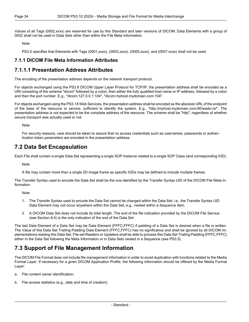Values of all Tags (0002,xxxx) are reserved for use by this Standard and later versions of DICOM. Data Elements with a group of 0002 shall not be used in Data Sets other than within the File Meta Information.

Note

<span id="page-33-0"></span>[PS3.5](part05.pdf#PS3.5) specifies that Elements with Tags (0001,xxxx), (0003,xxxx), (0005,xxxx), and (0007,xxxx) shall not be used.

#### <span id="page-33-1"></span>**7.1.1 DICOM File Meta Information Attributes**

#### **7.1.1.1 Presentation Address Attributes**

The encoding of the presentation address depends on the network transport protocol.

For objects exchanged using the [PS3.8](part08.pdf#PS3.8) DICOM Upper Layer Protocol for TCP/IP, the presentation address shall be encoded as a URI consisting of the scheme "dicom" followed by a colon, then either the fully qualified host name or IP address, followed by a colon and then the port number. E.g., "dicom:127.0.0.1:104", "dicom:myhost.mydomain.com:104".

For objects exchanged using the [PS3.18](part18.pdf#PS3.18) Web Services, the presentation address shall be encoded as the absolute URL of the endpoint of the base of the resource or service, sufficient to identify the system. E.g., "http://myhost.mydomain.com:80/wado-rs/". The presentation address is not expected to be the complete address of the resource. The scheme shall be "http", regardless of whether secure transport was actually used or not.

<span id="page-33-2"></span>Note

For security reasons, care should be taken to assure that no access credentials such as usernames, passwords or authen tication token parameters are encoded in the presentation address.

### **7.2 Data Set Encapsulation**

Each File shall contain a single Data Set representing a single SOP Instance related to a single SOP Class (and corresponding IOD).

Note

A file may contain more than a single 2D image frame as specific IODs may be defined to include multiple frames.

The Transfer Syntax used to encode the Data Set shall be the one identified by the Transfer Syntax UID of the DICOM File Meta In formation.

Note

- 1. The Transfer Syntax used to encode the Data Set cannot be changed within the Data Set; i.e., the Transfer Syntax UID Data Element may not occur anywhere within the Data Set, e.g., nested within a Sequence Item.
- 2. A DICOM Data Set does not include its total length. The end of the file indication provided by the DICOM File Service (see [Section](#page-39-0) 8.4) is the only indication of the end of the Data Set.

<span id="page-33-3"></span>The last Data Element of a Data Set may be Data Element (FFFC,FFFC) if padding of a Data Set is desired when a file is written. The Value of this Data Set Trailing Padding Data Element (FFFC,FFFC) has no significance and shall be ignored by all DICOM im plementations reading this Data Set. File-set Readers or Updaters shall be able to process this Data Set Trailing Padding (FFFC,FFFC) either in the Data Set following the Meta Information or in Data Sets nested in a Sequence (see [PS3.5](part05.pdf#PS3.5)).

## **7.3 Support of File Management Information**

The DICOM File Format does not include file management information in order to avoid duplication with functions related to the Media Format Layer. If necessary for a given DICOM Application Profile, the following information should be offered by the Media Format Layer:

- a. File content owner identification;
- b. File access statistics (e.g., date and time of creation);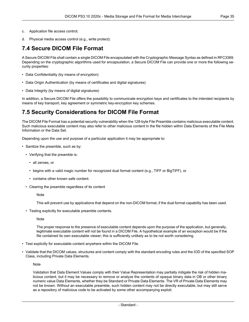- c. Application file access control;
- <span id="page-34-0"></span>d. Physical media access control (e.g., write protect).

## **7.4 Secure DICOM File Format**

A Secure DICOM File shall contain a single DICOM File encapsulated with the Cryptographic Message Syntax as defined in RFC3369. Depending on the cryptographic algorithms used for encapsulation, a Secure DICOM File can provide one or more the following se curity properties:

- Data Confidentiality (by means of encryption)
- Data Origin Authentication (by means of certificates and digital signatures)
- Data Integrity (by means of digital signatures)

<span id="page-34-1"></span>In addition, a Secure DICOM File offers the possibility to communicate encryption keys and certificates to the intended recipients by means of key transport, key agreement or symmetric key-encryption key schemes.

### **7.5 Security Considerations for DICOM File Format**

The DICOM File Format has a potential security vulnerability when the 128-byte File Preamble contains malicious executable content. Such malicious executable content may also refer to other malicious content in the file hidden within Data Elements of the File Meta Information or the Data Set.

Depending upon the use and purpose of a particular application it may be appropriate to:

- Sanitize the preamble, such as by:
	- Verifying that the preamble is:
		- all zeroes, or
		- begins with a valid magic number for recognized dual format content (e.g., TIFF or BigTIFF), or
		- contains other known safe content.
	- Clearing the preamble regardless of its content

**Note** 

This will prevent use by applications that depend on the non-DICOM format, if the dual format capability has been used.

• Testing explicitly for executable preamble contents.

Note

The proper response to the presence of executable content depends upon the purpose of the application, but generally, legitimate executable content will not be found in a DICOM File. A hypothetical example of an exception would be if the file contained its own executable viewer; this is sufficiently unlikely as to be not worth considering.

- Test explicitly for executable content anywhere within the DICOM File.
- Validate that the DICOM values, structures and content comply with the standard encoding rules and the IOD of the specified SOP Class, including Private Data Elements.

**Note** 

Validation that Data Element Values comply with their Value Representation may partially mitigate the risk of hidden ma licious content, but it may be necessary to remove or analyze the contents of opaque binary data in OB or other binary numeric value Data Elements, whether they be Standard or Private Data Elements. The VR of Private Data Elements may not be known. Without an executable preamble, such hidden content may not be directly executable, but may still serve as a repository of malicious code to be activated by some other accompanying exploit.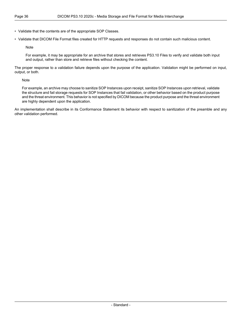• Validate that the contents are of the appropriate SOP Classes.

• Validate that DICOM File Format files created for HTTP requests and responses do not contain such malicious content.

Note

For example, it may be appropriate for an archive that stores and retrieves PS3.10 Files to verify and validate both input and output, rather than store and retrieve files without checking the content.

The proper response to a validation failure depends upon the purpose of the application. Validation might be performed on input, output, or both.

Note

For example, an archive may choose to sanitize SOP Instances upon receipt, sanitize SOP Instances upon retrieval, validate the structure and fail storage requests for SOP Instances that fail validation, or other behavior based on the product purpose and the threat environment. This behavior is not specified by DICOM because the product purpose and the threat environment are highly dependent upon the application.

An implementation shall describe in its Conformance Statement its behavior with respect to sanitization of the preamble and any other validation performed.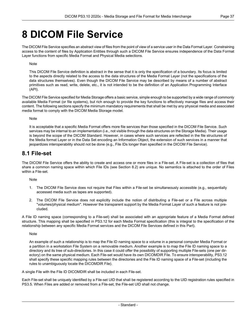## <span id="page-36-0"></span>**8 DICOM File Service**

The DICOM File Service specifies an abstract view of files from the point of view of a service user in the Data Format Layer. Constraining access to the content of files by Application Entities through such a DICOM File Service ensures independence of the Data Format Layer functions from specific Media Format and Physical Media selections.

#### Note

This DICOM File Service definition is abstract in the sense that it is only the specification of a boundary. Its focus is limited to the aspects directly related to the access to the data structures of the Media Format Layer (not the specifications of the data structures themselves). Even though the DICOM File Service may be described by means of a number of abstract primitives such as read, write, delete, etc., it is not intended to be the definition of an Application Programming Interface (API).

The DICOM File Service specified for Media Storage offers a basic service, simple enough to be supported by a wide range of commonly available Media Format (or file systems), but rich enough to provide the key functions to effectively manage files and access their content. The following sections specify the minimum mandatory requirements that shall be met by any physical media and associated media format to comply with the DICOM Media Storage model.

#### **Note**

<span id="page-36-1"></span>It is acceptable that a specific Media Format offers more file services than those specified in the DICOM File Service. Such services may be internal to an implementation (i.e., not visible through the data structures on the Storage Media). Their usage is beyond the scope of the DICOM Standard. However, in cases where such services are reflected in the file structures of the Media format Layer or in the Data Set encoding an Information Object, the extension of such services in a manner that jeopardizes interoperability should not be done (e.g., File IDs longer than specified in the DICOM File Service).

### **8.1 File-set**

The DICOM File Service offers the ability to create and access one or more files in a File-set. A File-set is a collection of files that share a common naming space within which File IDs (see [Section](#page-37-0) 8.2) are unique. No semantics is attached to the order of Files within a File-set.

Note

- 1. The DICOM File Service does not require that Files within a File-set be simultaneously accessible (e.g., sequentially accessed media such as tapes are supported).
- 2. The DICOM File Service does not explicitly include the notion of distributing a File-set or a File across multiple "volumes/physical medium". However the transparent support by the Media Format Layer of such a feature is not pre cluded.

A File ID naming space (corresponding to a File-set) shall be associated with an appropriate feature of a Media Format defined structure. This mapping shall be specified in [PS3.12](part12.pdf#PS3.12) for each Media Format specification (this is integral to the specification of the relationship between any specific Media Format services and the DICOM File Services defined in this Part).

Note

An example of such a relationship is to map the File ID naming space to a volume in a personal computer Media Format or a partition in a workstation File System on a removable medium. Another example is to map the File ID naming space to a directory and its tree of sub-directories. In this case it could offer the possibility of supporting multiple File-sets (one per dir ectory) on the same physical medium. Each File-set would have its own DICOMDIR File. To ensure interoperability, [PS3.12](part12.pdf#PS3.12) shall specify these specific mapping rules between the directories and the File ID naming space of a File-set (including the rules to unambiguously locate the DICOMDIR File).

A single File with the File ID DICOMDIR shall be included in each File-set.

Each File-set shall be uniquely identified by a File-set UID that shall be registered according to the UID registration rules specified in [PS3.5](part05.pdf#PS3.5). When Files are added or removed from a File-set, the File-set UID shall not change.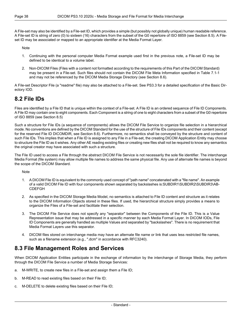A File-set may also be identified by a File-set ID, which provides a simple (but possibly not globally unique) human readable reference. A File-set ID is string of zero (0) to sixteen (16) characters from the subset of the G0 repertoire of ISO 8859 (see [Section](#page-39-1) 8.5). A File set ID may be associated or mapped to an appropriate identifier at the Media Format Layer.

Note

- 1. Continuing with the personal computer Media Format example used first in the previous note, a File-set ID may be defined to be identical to a volume label.
- 2. Non-DICOM Files (Files with a content not formatted according to the requirements of this Part of the DICOM Standard) may be present in a File-set. Such files should not contain the DICOM File Meta Information specified in [Table](#page-31-0) 7.1-1 and may not be referenced by the DICOM Media Storage Directory (see [Section](#page-39-2) 8.6).

<span id="page-37-0"></span>A File-set Descriptor File (a "readme" file) may also be attached to a File-set. See [PS3.3](part03.pdf#PS3.3) for a detailed specification of the Basic Dir ectory IOD.

## **8.2 File IDs**

Files are identified by a File ID that is unique within the context of a File-set. A File ID is an ordered sequence of File ID Components. A File ID may contain one to eight components. Each Component is a string of one to eight characters from a subset of the G0 repertoire of ISO 8859 (see [Section](#page-39-1) 8.5)

Such a structure for File IDs (a sequence of components) allows the DICOM File Service to organize file selection in a hierarchical mode. No conventions are defined by the DICOM Standard for the use of the structure of File IDs components and their content (except for the reserved File ID DICOMDIR, see [Section](#page-39-2) 8.6). Furthermore, no semantics shall be conveyed by the structure and content of such File IDs. This implies that when a File ID is assigned to any File in a File-set, the creating DICOM Application Entity may choose to structure the File ID as it wishes. Any other AE reading existing files or creating new files shall not be required to know any semantics the original creator may have associated with such a structure.

The File ID used to access a File through the abstract DICOM File Service is not necessarily the sole file identifier. The interchange Media Format (file system) may allow multiple file names to address the same physical file. Any use of alternate file names is beyond the scope of the DICOM Standard.

**Note** 

- 1. A DICOM File ID is equivalent to the commonly used concept of "path name" concatenated with a "file name". An example of a valid DICOM File ID with four components shown separated by backslashes is:SUBDIR1\SUBDIR2\SUBDIR3\AB- CDEFGH
- 2. As specified in the DICOM Storage Media Model, no semantics is attached to File ID content and structure as it relates to the DICOM Information Objects stored in these files. If used, the hierarchical structure simply provides a means to organize the Files of a File-set and facilitate their selection.
- <span id="page-37-1"></span>3. The DICOM File Service does not specify any "separator" between the Components of the File ID. This is a Value Representation issue that may be addressed in a specific manner by each Media Format Layer. In DICOM IODs, File ID Components are generally handled as multiple Values and separated by "backslashes". There is no requirement that Media Format Layers use this separator.
- 4. DICOM files stored on interchange media may have an alternate file name or link that uses less restricted file names, such as a filename extension (e.g., ".dcm" in accordance with RFC3240).

### **8.3 File Management Roles and Services**

When DICOM Application Entities participate in the exchange of information by the interchange of Storage Media, they perform through the DICOM File Service a number of Media Storage Services:

- a. M-WRITE, to create new files in a File-set and assign them a File ID;
- b. M-READ to read existing files based on their File ID;
- c. M-DELETE to delete existing files based on their File ID;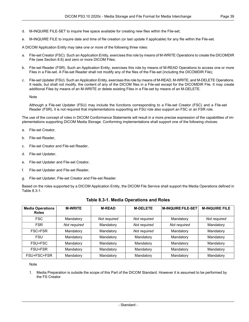- d. M-INQUIRE FILE-SET to inquire free space available for creating new files within the File-set;
- e. M-INQUIRE FILE to inquire date and time of file creation (or last update if applicable) for any file within the File-set.

A DICOM Application Entity may take one or more of the following three roles:

- a. File-set Creator (FSC). Such an Application Entity, exercises this role by means of M-WRITE Operations to create the DICOMDIR File (see [Section](#page-39-2) 8.6) and zero or more DICOM Files;
- b. File-set Reader (FSR). Such an Application Entity, exercises this role by means of M-READ Operations to access one or more Files in a File-set. A File-set Reader shall not modify any of the files of the File-set (including the DICOMDIR File);
- File-set Updater (FSU). Such an Application Entity, exercises this role by means of M-READ, M-WRITE, and M-DELETE Operations. It reads, but shall not modify, the content of any of the DICOM files in a File-set except for the DICOMDIR File. It may create additional Files by means of an M-WRITE or delete existing Files in a File-set by means of an M-DELETE.

Note

Although a File-set Updater (FSU) may include the functions corresponding to a File-set Creator (FSC) and a File-set Reader (FSR), it is not required that implementations supporting an FSU role also support an FSC or an FSR role.

The use of the concept of roles in DICOM Conformance Statements will result in a more precise expression of the capabilities of im plementations supporting DICOM Media Storage. Conforming implementations shall support one of the following choices:

- a. File-set Creator,
- b. File-set Reader,
- c. File-set Creator and File-set Reader,
- d. File-set Updater,
- e. File-set Updater and File-set Creator,
- f. File-set Updater and File-set Reader,
- <span id="page-38-0"></span>g. File-set Updater, File-set Creator and File-set Reader.

Based on the roles supported by a DICOM Application Entity, the DICOM File Service shall support the Media Operations defined in [Table](#page-38-0) 8.3-1.

| <b>Media Operations</b><br><b>Roles</b> | <b>M-WRITE</b> | <b>M-READ</b> | <b>M-DELETE</b> | <b>M-INQUIRE FILE-SET</b> | <b>M-INQUIRE FILE</b> |
|-----------------------------------------|----------------|---------------|-----------------|---------------------------|-----------------------|
| <b>FSC</b>                              | Mandatory      | Not required  | Not required    | Mandatory                 | Not required          |
| <b>FSR</b>                              | Not required   | Mandatory     | Not required    | Not required              | Mandatory             |
| FSC+FSR                                 | Mandatory      | Mandatory     | Not required    | Mandatory                 | Mandatory             |
| <b>FSU</b>                              | Mandatory      | Mandatory     | Mandatory       | Mandatory                 | Mandatory             |
| FSU+FSC                                 | Mandatory      | Mandatory     | Mandatory       | Mandatory                 | Mandatory             |
| FSU+FSR                                 | Mandatory      | Mandatory     | Mandatory       | Mandatory                 | Mandatory             |
| FSU+FSC+FSR                             | Mandatory      | Mandatory     | Mandatory       | Mandatory                 | Mandatory             |

#### **Table 8.3-1. Media Operations and Roles**

Note

1. Media Preparation is outside the scope of this Part of the DICOM Standard. However it is assumed to be performed by the FS Creator.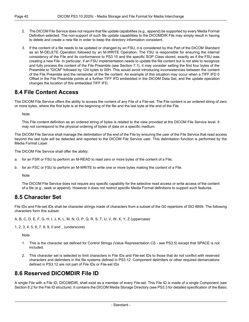- 2. The DICOM File Service does not require that file update capabilities (e.g., append) be supported by every Media Format Definition selected. The non-support of such file update capabilities to the DICOMDIR File may simply result in having to delete and create a new file in order to keep the directory information consistent.
- 3. If the content of a file needs to be updated or changed by an FSU, it is considered by this Part of the DICOM Standard as an M-DELETE Operation followed by an M-WRITE Operation. The FSU is responsible for ensuring the internal consistency of the File and its conformance to PS3.10 and the specific SOP Class stored, exactly as if the FSU was creating a new File. In particular, if an FSU implementation needs to update the file content but is not able to recognize and fully process the content of the File Preamble (see [Section](#page-30-1) 7.1), it may consider setting the first four bytes of the Preamble to "DICM" followed by 124 bytes to 00H. This would avoid introducing inconsistencies between the content of the File Preamble and the remainder of the file content. An example of this situation may occur when a TIFF IFD 0 Offset in the File Preamble points at a further TIFF IFD embedded in the DICOM Data Set, and the update operation changes the location of this embedded TIFF IFD.

### <span id="page-39-0"></span>**8.4 File Content Access**

The DICOM File Service offers the ability to access the content of any File of a File-set. The File content is an ordered string of zero or more bytes, where the first byte is at the beginning of the file and the last byte at the end of the File.

**Note** 

This File content definition as an ordered string of bytes is related to the view provided at the DICOM File Service level. It may not correspond to the physical ordering of bytes of data on a specific medium.

The DICOM File Service shall manage the delimitation of the end of the File by ensuring the user of the File Service that read access beyond the last byte will be detected and reported to the DICOM File Service user. This delimitation function is performed by the Media Format Layer.

The DICOM File Service shall offer the ability:

- a. for an FSR or FSU to perform an M-READ to read zero or more bytes of the content of a File;
- <span id="page-39-1"></span>b. for an FSC or FSU to perform an M-WRITE to write one or more bytes making the content of a File.

Note

The DICOM File Service does not require any specific capability for the selective read access or write access of the content of a file (e.g., seek or append). However it does not restrict specific Media Format definitions to support such features.

### **8.5 Character Set**

File IDs and File-set IDs shall be character strings made of characters from a subset of the G0 repertoire of ISO 8859. The following characters form this subset:

A, B, C, D, E, F, G, H, I, J, K, L, M, N, O, P, Q, R, S, T, U, V, W, X, Y, Z (uppercase)

1, 2, 3, 4, 5, 6, 7, 8, 9, 0 and \_ (underscore)

**Note** 

- <span id="page-39-2"></span>1. This is the character set defined for Control Strings (Value Representation CS - see [PS3.5\)](part05.pdf#PS3.5) except that SPACE is not included.
- 2. This character set is selected to limit characters in File IDs and File-set IDs to those that do not conflict with reserved characters and delimiters in the file systems defined in [PS3.12](part12.pdf#PS3.12). Component delimiters or other required demarcations defined in [PS3.12](part12.pdf#PS3.12) are not part of File IDs or File-set IDs

## **8.6 Reserved DICOMDIR File ID**

A single File with a File ID, DICOMDIR, shall exist as a member of every File-set. This File ID is made of a single Component (see [Section](#page-37-0) 8.2 for the File ID structure). It contains the DICOM Media Storage Directory (see [PS3.3](part03.pdf#PS3.3) for detailed specification of the Basic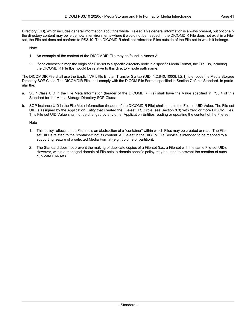Directory IOD), which includes general information about the whole File-set. This general information is always present, but optionally the directory content may be left empty in environments where it would not be needed. If the DICOMDIR File does not exist in a File set, the File-set does not conform to PS3.10. The DICOMDIR shall not reference Files outside of the File-set to which it belongs.

Note

- 1. An example of the content of the DICOMDIR File may be found in [Annex](#page-44-0) A.
- 2. If one chooses to map the origin of a File-set to a specific directory node in a specific Media Format, the File IDs, including the DICOMDIR File IDs, would be relative to this directory node path name.

The DICOMDIR File shall use the Explicit VR Little Endian Transfer Syntax (UID=1.2.840.10008.1.2.1) to encode the Media Storage Directory SOP Class. The DICOMDIR File shall comply with the DICOM File Format specified in Section 7 of this Standard. In partic ular the:

- a. SOP Class UID in the File Meta Information (header of the DICOMDIR File) shall have the Value specified in [PS3.4](part04.pdf#PS3.4) of this Standard for the Media Storage Directory SOP Class;
- b. SOP Instance UID in the File Meta Information (header of the DICOMDIR File) shall contain the File-set UID Value. The File-set UID is assigned by the Application Entity that created the File-set (FSC role, see [Section](#page-37-1) 8.3) with zero or more DICOM Files. This File-set UID Value shall not be changed by any other Application Entities reading or updating the content of the File-set.

#### Note

- 1. This policy reflects that a File-set is an abstraction of a "container" within which Files may be created or read. The File set UID is related to the "container" not its content. A File-set in the DICOM File Service is intended to be mapped to a supporting feature of a selected Media Format (e.g., volume or partition).
- 2. The Standard does not prevent the making of duplicate copies of a File-set (i.e., a File-set with the same File-set UID). However, within a managed domain of File-sets, a domain specific policy may be used to prevent the creation of such duplicate File-sets.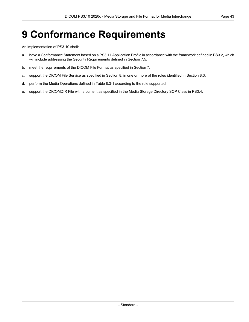## <span id="page-42-0"></span>**9 Conformance Requirements**

An implementation of PS3.10 shall:

- a. have a Conformance Statement based on a [PS3.11](part11.pdf#PS3.11) Application Profile in accordance with the framework defined in [PS3.2,](part02.pdf#PS3.2) which will include addressing the Security Requirements defined in [Section](#page-34-1) 7.5;
- b. meet the requirements of the DICOM File Format as specified in [Section](#page-30-0) 7;
- c. support the DICOM File Service as specified in [Section](#page-36-0) 8, in one or more of the roles identified in [Section](#page-37-1) 8.3;
- d. perform the Media Operations defined in [Table](#page-38-0) 8.3-1 according to the role supported;
- e. support the DICOMDIR File with a content as specified in the Media Storage Directory SOP Class in [PS3.4.](part04.pdf#PS3.4)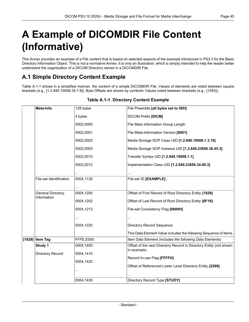# <span id="page-44-0"></span>**A Example of DICOMDIR File Content (Informative)**

<span id="page-44-1"></span>This Annex provides an example of a File content that is based on selected aspects of the example introduced in [PS3.3](part03.pdf#PS3.3) for the Basic Directory Information Object. This is not a normative Annex. It is only an illustration, which is simply intended to help the reader better understand the organization of a DICOM Directory stored in a DICOMDIR File.

## **A.1 Simple Directory Content Example**

<span id="page-44-2"></span>[Table](#page-44-2) A.1-1 shows in a simplified manner, the content of a simple DICOMDIR File. Values of elements are noted between square brackets (e.g., [1.2.840.10008.34.7.6]). Byte Offsets are shown by symbolic Values noted between brackets (e.g., {1493}).

| Meta-Info                               | 128 bytes | File Preamble [all bytes set to 00H]                               |
|-----------------------------------------|-----------|--------------------------------------------------------------------|
|                                         | 4 bytes   | <b>DICOM Prefix [DICM]</b>                                         |
|                                         | 0002,0000 | File Meta Information Group Length                                 |
|                                         | 0002,0001 | File Meta-Information Version [0001]                               |
|                                         | 0002,0002 | Media Storage SOP Class UID [1.2.840.10008.1.3.10]                 |
|                                         | 0002,0003 | Media Storage SOP Instance UID [1.2.840.23856.36.45.3]             |
|                                         | 0002,0010 | Transfer Syntax UID [1.2.840.10008.1.1]                            |
|                                         | 0002,0012 | Implementation Class UID [1.2.840.23856.34.90.3]                   |
|                                         |           |                                                                    |
| File-set Identification                 | 0004,1130 | File-set ID [EXAMPLE]                                              |
|                                         | .         |                                                                    |
| <b>General Directory</b><br>Information | 0004,1200 | Offset of First Record of Root Directory Entity {1829}             |
|                                         | 0004,1202 | Offset of Last Record of Root Directory Entity {6F18}              |
|                                         | 0004,1212 | File-set Consistency Flag [0000H]                                  |
|                                         |           |                                                                    |
|                                         | 0004,1220 | Directory Record Sequence.                                         |
|                                         |           | This Data Element Value includes the following Sequence of Items.  |
| {1829} Item Tag                         | FFFE,E000 | Item Data Element (includes the following Data Elements)           |
| Study 1                                 | 0004,1400 | Offset of the next Directory Record in Directory Entity (not shown |
| Directory Record                        | 0004,1410 | in example)                                                        |
|                                         | 0004,1420 | Record In-use Flag [FFFFH]                                         |
|                                         |           | Offset of Referenced Lower Level Directory Entity {2299}           |
|                                         |           |                                                                    |
|                                         | 0004,1430 | Directory Record Type [STUDY]                                      |
|                                         |           |                                                                    |

#### **Table A.1-1. Directory Content Example**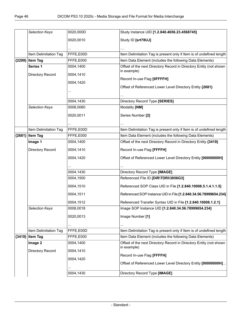|          | <b>Selection Keys</b> | 0020,000D | Study Instance UID [1.2.840.4656.23.4568745]                         |
|----------|-----------------------|-----------|----------------------------------------------------------------------|
|          |                       | 0020,0010 | Study ID [srt78UJ]                                                   |
|          |                       |           |                                                                      |
|          |                       |           |                                                                      |
|          | Item Delimitation Tag | FFFE,E00D | Item Delimitation Tag is present only if Item is of undefined length |
| ${2299}$ | <b>Item Tag</b>       | FFFE,E000 | Item Data Element (includes the following Data Elements)             |
|          | Series 1              | 0004,1400 | Offset of the next Directory Record in Directory Entity (not shown   |
|          | Directory Record      | 0004,1410 | in example)                                                          |
|          |                       | 0004,1420 | Record In-use Flag [OFFFFH]                                          |
|          |                       |           | Offset of Referenced Lower Level Directory Entity {2681}             |
|          |                       |           |                                                                      |
|          |                       | 0004,1430 | Directory Record Type [SERIES]                                       |
|          | <b>Selection Keys</b> | 0008,0060 | Modality [NM]                                                        |
|          |                       |           |                                                                      |
|          |                       | 0020,0011 | Series Number [2]                                                    |
|          |                       |           |                                                                      |
|          | Item Delimitation Tag | FFFE,E00D | Item Delimitation Tag is present only if Item is of undefined length |
| ${2681}$ | <b>Item Tag</b>       | FFFE,E000 | Item Data Element (includes the following Data Elements)             |
|          | Image 1               | 0004,1400 | Offset of the next Directory Record in Directory Entity {3419}       |
|          | Directory Record      | 0004,1410 | Record In-use Flag [FFFFH]                                           |
|          |                       | 0004,1420 | Offset of Referenced Lower Level Directory Entity [00000000H]        |
|          |                       |           |                                                                      |
|          |                       | 0004,1430 | Directory Record Type [IMAGE]                                        |
|          |                       | 0004,1500 | Referenced File ID [DIR\TDRI\3856G3]                                 |
|          |                       | 0004,1510 | Referenced SOP Class UID in File [1.2.840.10008.5.1.4.1.1.5]         |
|          |                       | 0004,1511 | Referenced SOP Instance UID in File [1.2.840.34.56.78999654.234]     |
|          |                       | 0004,1512 | Referenced Transfer Syntax UID in File [1.2.840.10008.1.2.1]         |
|          | Selection Keys        | 0008,0018 | Image SOP Instance UID [1.2.840.34.56.78999654.234]                  |
|          |                       | 0020,0013 | Image Number [1]                                                     |
|          |                       |           |                                                                      |
|          | Item Delimitation Tag | FFFE,E00D | Item Delimitation Tag is present only if Item is of undefined length |
| (3419)   | <b>Item Tag</b>       | FFFE,E000 | Item Data Element (includes the following Data Elements)             |
|          | Image 2               | 0004,1400 | Offset of the next Directory Record in Directory Entity (not shown   |
|          | Directory Record      | 0004,1410 | in example)                                                          |
|          |                       |           | Record In-use Flag [FFFFH]                                           |
|          | 0004,1420             |           |                                                                      |
|          |                       |           | Offset of Referenced Lower Level Directory Entity [00000000H]        |
|          |                       | 0004,1430 | Directory Record Type [IMAGE]                                        |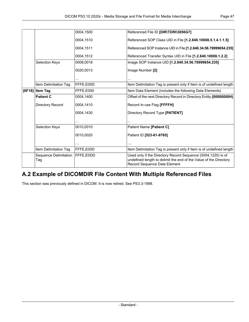|          |                              | 0004,1500 | Referenced File ID [DIR\TDRI\3856G7]                                                                                                                               |
|----------|------------------------------|-----------|--------------------------------------------------------------------------------------------------------------------------------------------------------------------|
|          |                              | 0004,1510 | Referenced SOP Class UID in File [1.2.840.10008.5.1.4.1.1.5]                                                                                                       |
|          |                              | 0004,1511 | Referenced SOP Instance UID in File [1.2.840.34.56.78999654.235]                                                                                                   |
|          |                              | 0004,1512 | Referenced Transfer Syntax UID in File [1.2.840.10008.1.2.2]                                                                                                       |
|          | Selection Keys               | 0008,0018 | Image SOP Instance UID [1.2.840.34.56.78999654.235]                                                                                                                |
|          |                              | 0020,0013 | Image Number [2]                                                                                                                                                   |
|          |                              |           |                                                                                                                                                                    |
|          | Item Delimitation Tag        | FFFE,E00D | Item Delimitation Tag is present only if Item is of undefined length                                                                                               |
| ${6F18}$ | <b>Item Tag</b>              | FFFE,E000 | Item Data Element (includes the following Data Elements)                                                                                                           |
|          | <b>Patient C</b>             | 0004,1400 | Offset of the next Directory Record in Directory Entity {00000000H}                                                                                                |
|          | Directory Record             | 0004,1410 | Record In-use Flag [FFFFH]                                                                                                                                         |
|          |                              | 0004,1430 | Directory Record Type [PATIENT]                                                                                                                                    |
|          |                              |           |                                                                                                                                                                    |
|          | <b>Selection Keys</b>        | 0010,0010 | Patient Name [Patient C]                                                                                                                                           |
|          |                              | 0010,0020 | Patient ID [523-61-8765]                                                                                                                                           |
|          |                              |           | .                                                                                                                                                                  |
|          | Item Delimitation Tag        | FFFE,E00D | Item Delimitation Tag is present only if Item is of undefined length                                                                                               |
|          | Sequence Delimitation<br>Tag | FFFE,E0DD | Used only if the Directory Record Sequence (0004,1220) is of<br>undefined length to delimit the end of the Value of the Directory<br>Record Sequence Data Element. |

## <span id="page-46-0"></span>**A.2 Example of DICOMDIR File Content With Multiple Referenced Files**

This section was previously defined in DICOM. It is now retired. See PS3.3-1998.